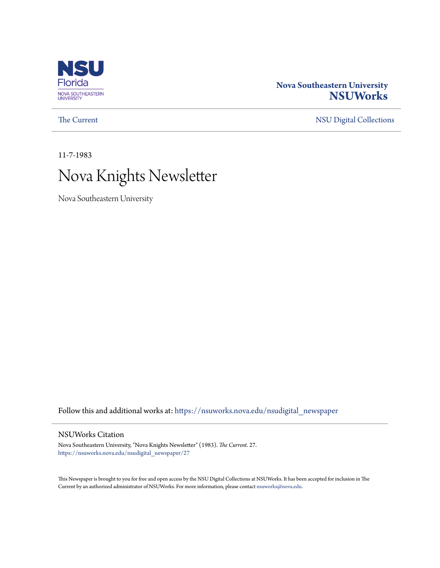

### **Nova Southeastern University [NSUWorks](https://nsuworks.nova.edu?utm_source=nsuworks.nova.edu%2Fnsudigital_newspaper%2F27&utm_medium=PDF&utm_campaign=PDFCoverPages)**

[The Current](https://nsuworks.nova.edu/nsudigital_newspaper?utm_source=nsuworks.nova.edu%2Fnsudigital_newspaper%2F27&utm_medium=PDF&utm_campaign=PDFCoverPages) [NSU Digital Collections](https://nsuworks.nova.edu/nsudigital?utm_source=nsuworks.nova.edu%2Fnsudigital_newspaper%2F27&utm_medium=PDF&utm_campaign=PDFCoverPages)

11-7-1983

# Nova Knights Newsletter

Nova Southeastern University

Follow this and additional works at: [https://nsuworks.nova.edu/nsudigital\\_newspaper](https://nsuworks.nova.edu/nsudigital_newspaper?utm_source=nsuworks.nova.edu%2Fnsudigital_newspaper%2F27&utm_medium=PDF&utm_campaign=PDFCoverPages)

### NSUWorks Citation

Nova Southeastern University, "Nova Knights Newsletter" (1983). *The Current*. 27. [https://nsuworks.nova.edu/nsudigital\\_newspaper/27](https://nsuworks.nova.edu/nsudigital_newspaper/27?utm_source=nsuworks.nova.edu%2Fnsudigital_newspaper%2F27&utm_medium=PDF&utm_campaign=PDFCoverPages)

This Newspaper is brought to you for free and open access by the NSU Digital Collections at NSUWorks. It has been accepted for inclusion in The Current by an authorized administrator of NSUWorks. For more information, please contact [nsuworks@nova.edu.](mailto:nsuworks@nova.edu)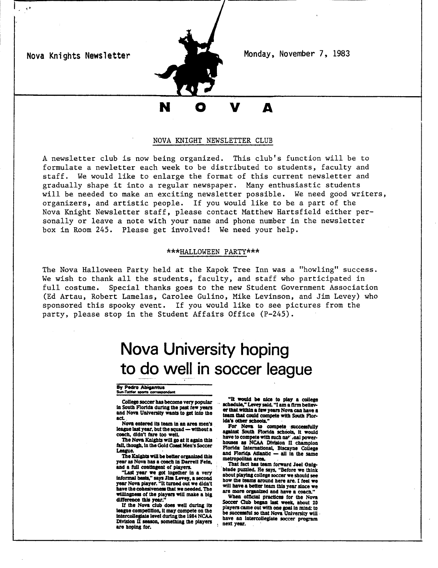Nova Knights Newsletter

,.



Monday, November 7, 1983

## A

#### NOVA KNIGHT NEWSLETTER CLUB

A newsletter club is now being organized. This club's function will be to formulate a newletter each week to be distributed to students, faculty and staff. We would like to enlarge the format of this current newsletter and gradually shape it into <sup>a</sup> regular newspaper. Many enthusiastic students will be needed to make an exciting newsletter possible. We need good writers, organizers, and artistic people. If you would like to be a part of the Nova Knight Newsletter staff, please contact Matthew Hartsfield either personally or leave a note with your name and phone number in the newsletter box in Room 245. Please get involved! We need your help.

#### \*\*\*HALLOWEEN PARTY\*\*\*

The Nova Halloween Party held at the Kapok Tree Inn was a "howling" success. We wish to thank all the students, faculty, and staff who participated in full costume. Special thanks goes to the new Student Government Association (Ed Artau, Robert Lamelas, Carolee Gulino, Mike Levinson, and Jim Levey) who sponsored this spooky event. If you would like to see pictures from the party, please stop in the Student Affairs Office (P-245).

## **Nova University hoping to** \_d9 w~JL **in soccer league**

#### By Pedro Abigantus Sun-Tattler sports correspondent

College soccer has become very popular in South Florida during the past few years and Nova University wants to get into the act.

Nova entered Its team In an area men's league last year, but the squad - without a coach, didn't fare too well.

The Nova Knights will go at it again this<br>fall, though, in the Gold Coast Men's Soccer League.

The Knights will be better organized this year as Nova has a coach in Darrell Fein, and a full contingent of players.

and a full contingent of players.<br>"Last year we got togetler in a very<br>informal besis," says Jim Levey, a second<br>year Nova player. "It turned out we didn't have the cohesiveness that we needed. The willingness of the players will make a big. difference this year."

If the Nova club does well during its league competition, it may compete on the intercollegiate level during the 1984 NCAA<br>Division II season, something the players<br>are hoping for.

"It would be nice to play a college ... "It would be nice to play a college er that within a few years Nova can have a<br>team that could compete with South Florida's other schools."

For Nova to compete successfully against South Florida schools, it would have to compete with such nat', and power-<br>houses as NCAA Division II champion<br>Elected: International Division II Florida International, Biscayne College<br>and Florida Atlantic - all in the same

metropolitian area.<br>That fact has team forward Joel Only-<br>blnde puzzled. He says, "Before we think<br>about playing college soccer we should see how the teams around here are. I feel we will have a better team this year since we are more organized and have a coach."

When official practices for the Nova Soccer Club began last week, about 20 players came out with one goal in mind: to<br>be successful so that Nova University will have an Intercollegiate soccer program next year.